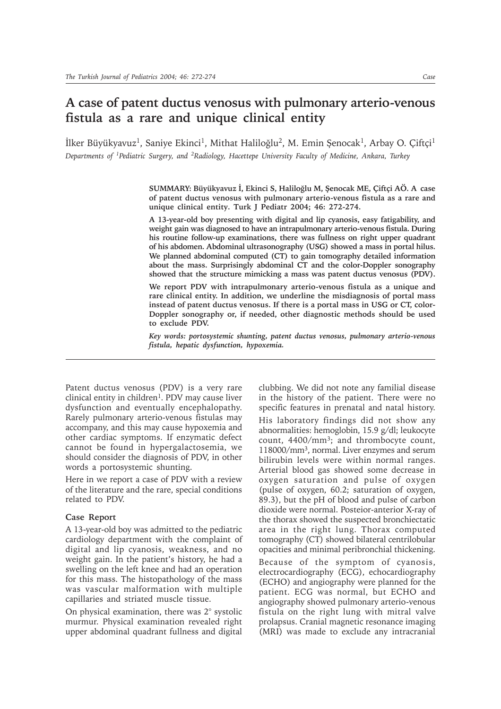# **A case of patent ductus venosus with pulmonary arterio-venous fistula as a rare and unique clinical entity**

İlker Büyükyavuz<sup>1</sup>, Saniye Ekinci<sup>1</sup>, Mithat Haliloğlu<sup>2</sup>, M. Emin Şenocak<sup>1</sup>, Arbay O. Çiftçi<sup>1</sup> *Departments of 1Pediatric Surgery, and 2Radiology, Hacettepe University Faculty of Medicine, Ankara, Turkey*

> SUMMARY: Büyükyavuz İ, Ekinci S, Haliloğlu M, Şenocak ME, Çiftçi AÖ. A case **of patent ductus venosus with pulmonary arterio-venous fistula as a rare and unique clinical entity. Turk J Pediatr 2004; 46: 272-274.**

> **A 13-year-old boy presenting with digital and lip cyanosis, easy fatigability, and weight gain was diagnosed to have an intrapulmonary arterio-venous fistula. During his routine follow-up examinations, there was fullness on right upper quadrant of his abdomen. Abdominal ultrasonography (USG) showed a mass in portal hilus. We planned abdominal computed (CT) to gain tomography detailed information about the mass. Surprisingly abdominal CT and the color-Doppler sonography showed that the structure mimicking a mass was patent ductus venosus (PDV).**

> **We report PDV with intrapulmonary arterio-venous fistula as a unique and rare clinical entity. In addition, we underline the misdiagnosis of portal mass instead of patent ductus venosus. If there is a portal mass in USG or CT, color-Doppler sonography or, if needed, other diagnostic methods should be used to exclude PDV.**

> *Key words: portosystemic shunting, patent ductus venosus, pulmonary arterio-venous fistula, hepatic dysfunction, hypoxemia.*

Patent ductus venosus (PDV) is a very rare clinical entity in children<sup>1</sup>. PDV may cause liver dysfunction and eventually encephalopathy. Rarely pulmonary arterio-venous fistulas may accompany, and this may cause hypoxemia and other cardiac symptoms. If enzymatic defect cannot be found in hypergalactosemia, we should consider the diagnosis of PDV, in other words a portosystemic shunting.

Here in we report a case of PDV with a review of the literature and the rare, special conditions related to PDV.

### **Case Report**

A 13-year-old boy was admitted to the pediatric cardiology department with the complaint of digital and lip cyanosis, weakness, and no weight gain. In the patient's history, he had a swelling on the left knee and had an operation for this mass. The histopathology of the mass was vascular malformation with multiple capillaries and striated muscle tissue.

On physical examination, there was 2° systolic murmur. Physical examination revealed right upper abdominal quadrant fullness and digital clubbing. We did not note any familial disease in the history of the patient. There were no specific features in prenatal and natal history. His laboratory findings did not show any abnormalities: hemoglobin, 15.9 g/dl; leukocyte count, 4400/mm3; and thrombocyte count, 118000/mm3, normal. Liver enzymes and serum bilirubin levels were within normal ranges. Arterial blood gas showed some decrease in oxygen saturation and pulse of oxygen (pulse of oxygen, 60.2; saturation of oxygen, 89.3), but the pH of blood and pulse of carbon dioxide were normal. Posteior-anterior X-ray of the thorax showed the suspected bronchiectatic area in the right lung. Thorax computed tomography (CT) showed bilateral centrilobular opacities and minimal peribronchial thickening.

Because of the symptom of cyanosis, electrocardiography (ECG), echocardiography (ECHO) and angiography were planned for the patient. ECG was normal, but ECHO and angiography showed pulmonary arterio-venous fistula on the right lung with mitral valve prolapsus. Cranial magnetic resonance imaging (MRI) was made to exclude any intracranial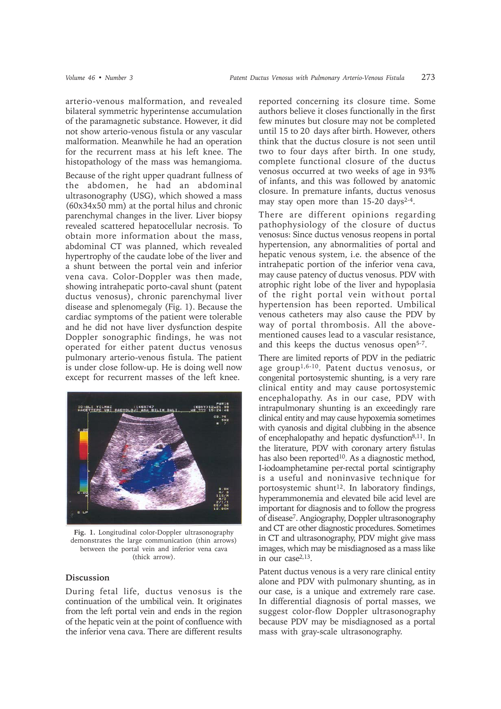arterio-venous malformation, and revealed bilateral symmetric hyperintense accumulation of the paramagnetic substance. However, it did not show arterio-venous fistula or any vascular malformation. Meanwhile he had an operation for the recurrent mass at his left knee. The histopathology of the mass was hemangioma.

Because of the right upper quadrant fullness of the abdomen, he had an abdominal ultrasonography (USG), which showed a mass (60x34x50 mm) at the portal hilus and chronic parenchymal changes in the liver. Liver biopsy revealed scattered hepatocellular necrosis. To obtain more information about the mass, abdominal CT was planned, which revealed hypertrophy of the caudate lobe of the liver and a shunt between the portal vein and inferior vena cava. Color-Doppler was then made, showing intrahepatic porto-caval shunt (patent ductus venosus), chronic parenchymal liver disease and splenomegaly (Fig. 1). Because the cardiac symptoms of the patient were tolerable and he did not have liver dysfunction despite Doppler sonographic findings, he was not operated for either patent ductus venosus pulmonary arterio-venous fistula. The patient is under close follow-up. He is doing well now except for recurrent masses of the left knee.



**Fig. 1.** Longitudinal color-Doppler ultrasonography demonstrates the large communication (thin arrows) between the portal vein and inferior vena cava (thick arrow).

## **Discussion**

During fetal life, ductus venosus is the continuation of the umbilical vein. It originates from the left portal vein and ends in the region of the hepatic vein at the point of confluence with the inferior vena cava. There are different results

reported concerning its closure time. Some authors believe it closes functionally in the first few minutes but closure may not be completed until 15 to 20 days after birth. However, others think that the ductus closure is not seen until two to four days after birth. In one study, complete functional closure of the ductus venosus occurred at two weeks of age in 93% of infants, and this was followed by anatomic closure. In premature infants, ductus venosus may stay open more than 15-20 days<sup>2-4</sup>.

There are different opinions regarding pathophysiology of the closure of ductus venosus: Since ductus venosus reopens in portal hypertension, any abnormalities of portal and hepatic venous system, i.e. the absence of the intrahepatic portion of the inferior vena cava, may cause patency of ductus venosus. PDV with atrophic right lobe of the liver and hypoplasia of the right portal vein without portal hypertension has been reported. Umbilical venous catheters may also cause the PDV by way of portal thrombosis. All the abovementioned causes lead to a vascular resistance, and this keeps the ductus venosus open<sup>5-7</sup>.

There are limited reports of PDV in the pediatric age group1,6-10. Patent ductus venosus, or congenital portosystemic shunting, is a very rare clinical entity and may cause portosystemic encephalopathy. As in our case, PDV with intrapulmonary shunting is an exceedingly rare clinical entity and may cause hypoxemia sometimes with cyanosis and digital clubbing in the absence of encephalopathy and hepatic dysfunction<sup>8,11</sup>. In the literature, PDV with coronary artery fistulas has also been reported<sup>10</sup>. As a diagnostic method, I-iodoamphetamine per-rectal portal scintigraphy is a useful and noninvasive technique for portosystemic shunt<sup>12</sup>. In laboratory findings, hyperammonemia and elevated bile acid level are important for diagnosis and to follow the progress of disease7. Angiography, Doppler ultrasonography and CT are other diagnostic procedures. Sometimes in CT and ultrasonography, PDV might give mass images, which may be misdiagnosed as a mass like in our case2,13.

Patent ductus venous is a very rare clinical entity alone and PDV with pulmonary shunting, as in our case, is a unique and extremely rare case. In differential diagnosis of portal masses, we suggest color-flow Doppler ultrasonography because PDV may be misdiagnosed as a portal mass with gray-scale ultrasonography.